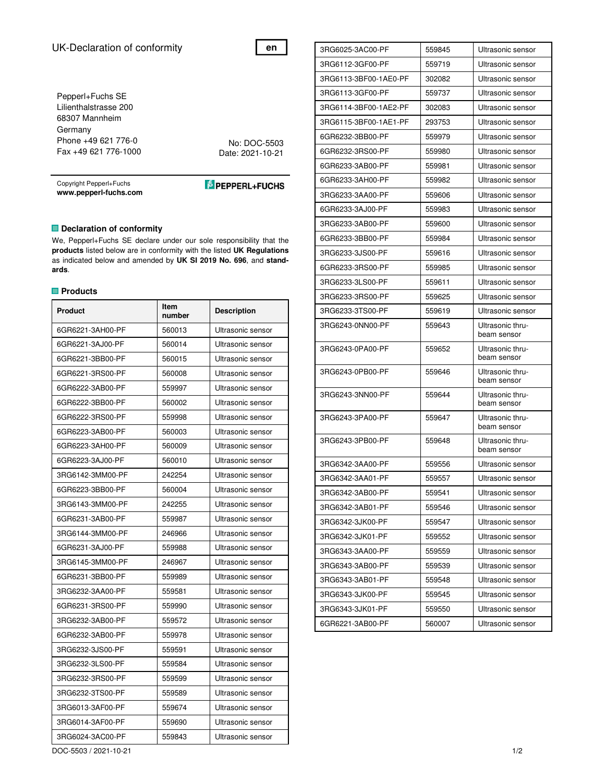# UK-Declaration of conformity

Pepperl+Fuchs SE Lilienthalstrasse 200 68307 Mannheim Germany Phone +49 621 776-0 Fax +49 621 776-1000

No: DOC-5503 Date: 2021-10-21

**en**

Copyright Pepperl+Fuchs **www.pepperl-fuchs.com** 

**E** PEPPERL+FUCHS

### $\blacksquare$  **Declaration of conformity**

We, Pepperl+Fuchs SE declare under our sole responsibility that the **products** listed below are in conformity with the listed **UK Regulations**  as indicated below and amended by **UK SI 2019 No. 696**, and **standards**.

### **Products**

| Product          | Item<br>number | <b>Description</b> |
|------------------|----------------|--------------------|
| 6GR6221-3AH00-PF | 560013         | Ultrasonic sensor  |
| 6GR6221-3AJ00-PF | 560014         | Ultrasonic sensor  |
| 6GR6221-3BB00-PF | 560015         | Ultrasonic sensor  |
| 6GR6221-3RS00-PF | 560008         | Ultrasonic sensor  |
| 6GR6222-3AB00-PF | 559997         | Ultrasonic sensor  |
| 6GR6222-3BB00-PF | 560002         | Ultrasonic sensor  |
| 6GR6222-3RS00-PF | 559998         | Ultrasonic sensor  |
| 6GR6223-3AB00-PF | 560003         | Ultrasonic sensor  |
| 6GR6223-3AH00-PF | 560009         | Ultrasonic sensor  |
| 6GR6223-3AJ00-PF | 560010         | Ultrasonic sensor  |
| 3RG6142-3MM00-PF | 242254         | Ultrasonic sensor  |
| 6GR6223-3BB00-PF | 560004         | Ultrasonic sensor  |
| 3RG6143-3MM00-PF | 242255         | Ultrasonic sensor  |
| 6GR6231-3AB00-PF | 559987         | Ultrasonic sensor  |
| 3RG6144-3MM00-PF | 246966         | Ultrasonic sensor  |
| 6GR6231-3AJ00-PF | 559988         | Ultrasonic sensor  |
| 3RG6145-3MM00-PF | 246967         | Ultrasonic sensor  |
| 6GR6231-3BB00-PF | 559989         | Ultrasonic sensor  |
| 3RG6232-3AA00-PF | 559581         | Ultrasonic sensor  |
| 6GR6231-3RS00-PF | 559990         | Ultrasonic sensor  |
| 3RG6232-3AB00-PF | 559572         | Ultrasonic sensor  |
| 6GR6232-3AB00-PF | 559978         | Ultrasonic sensor  |
| 3RG6232-3JS00-PF | 559591         | Ultrasonic sensor  |
| 3RG6232-3LS00-PF | 559584         | Ultrasonic sensor  |
| 3RG6232-3RS00-PF | 559599         | Ultrasonic sensor  |
| 3RG6232-3TS00-PF | 559589         | Ultrasonic sensor  |
| 3RG6013-3AF00-PF | 559674         | Ultrasonic sensor  |
| 3RG6014-3AF00-PF | 559690         | Ultrasonic sensor  |
| 3RG6024-3AC00-PF | 559843         | Ultrasonic sensor  |

3RG6025-3AC00-PF 559845 Ultrasonic sensor 3RG6112-3GF00-PF 559719 Ultrasonic sensor 3RG6113-3BF00-1AE0-PF 302082 Ultrasonic sensor 3RG6113-3GF00-PF 559737 Ultrasonic sensor 3RG6114-3BF00-1AE2-PF 302083 Ultrasonic sensor 3RG6115-3BF00-1AE1-PF 293753 Ultrasonic sensor 6GR6232-3BB00-PF 559979 Ultrasonic sensor 6GR6232-3RS00-PF 559980 Ultrasonic sensor 6GR6233-3AB00-PF 559981 Ultrasonic sensor 6GR6233-3AH00-PF 559982 Ultrasonic sensor 3RG6233-3AA00-PF 559606 Ultrasonic sensor 6GR6233-3AJ00-PF 559983 Ultrasonic sensor 3RG6233-3AB00-PF 559600 Ultrasonic sensor 6GR6233-3BB00-PF 559984 Ultrasonic sensor 3RG6233-3JS00-PF 559616 Ultrasonic sensor 6GR6233-3RS00-PF 559985 Ultrasonic sensor 3RG6233-3LS00-PF 559611 Ultrasonic sensor 3RG6233-3RS00-PF 559625 Ultrasonic sensor 3RG6233-3TS00-PF 559619 Ultrasonic sensor 3RG6243-0NN00-PF 559643 Ultrasonic thrubeam sensor 3RG6243-0PA00-PF 559652 Ultrasonic thrubeam sensor 3RG6243-0PB00-PF 559646 Ultrasonic thrubeam sensor 3RG6243-3NN00-PF 559644 Ultrasonic thrubeam sensor 3RG6243-3PA00-PF 559647 Ultrasonic thrubeam sensor 3RG6243-3PB00-PF 559648 Ultrasonic thrubeam sensor 3RG6342-3AA00-PF 559556 Ultrasonic sensor 3RG6342-3AA01-PF 559557 Ultrasonic sensor 3RG6342-3AB00-PF 559541 Ultrasonic sensor 3RG6342-3AB01-PF 559546 Ultrasonic sensor 3RG6342-3JK00-PF 559547 Ultrasonic sensor 3RG6342-3JK01-PF 559552 Ultrasonic sensor 3RG6343-3AA00-PF 559559 Ultrasonic sensor 3RG6343-3AB00-PF 559539 Ultrasonic sensor 3RG6343-3AB01-PF 559548 Ultrasonic sensor 3RG6343-3JK00-PF 559545 Ultrasonic sensor 3RG6343-3JK01-PF 559550 Ultrasonic sensor 6GR6221-3AB00-PF 560007 Ultrasonic sensor

DOC-5503 / 2021-10-21 1/2